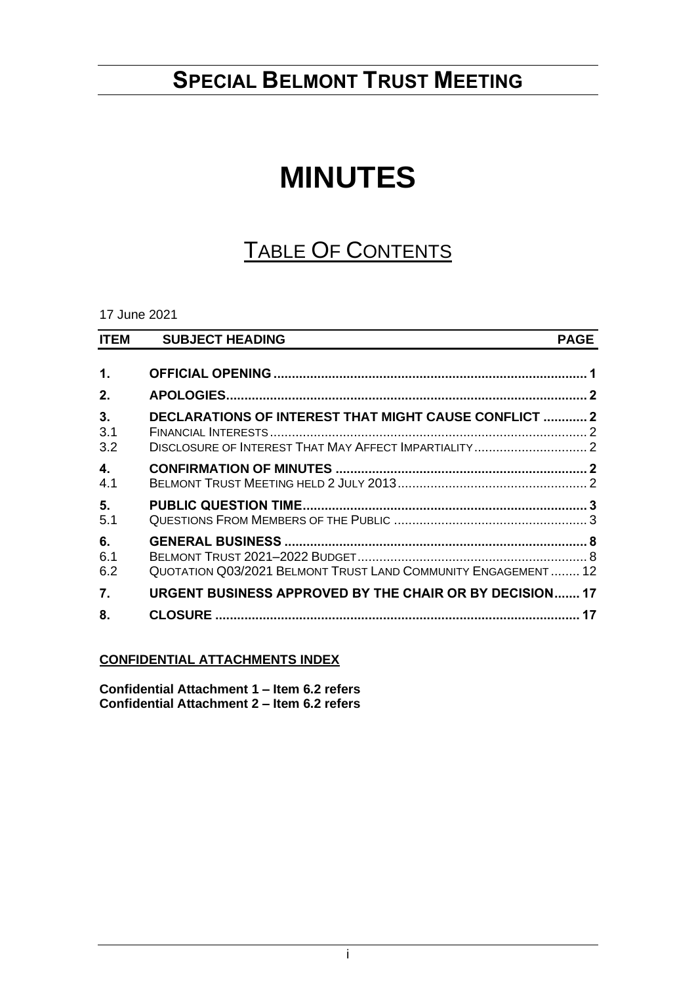## **SPECIAL BELMONT TRUST MEETING**

# **MINUTES**

# TABLE OF CONTENTS

17 June 2021

| <b>ITEM</b>      | <b>SUBJECT HEADING</b>                                        | <b>PAGE</b> |
|------------------|---------------------------------------------------------------|-------------|
| 1.               |                                                               |             |
| 2.               |                                                               |             |
| 3.<br>3.1<br>3.2 | DECLARATIONS OF INTEREST THAT MIGHT CAUSE CONFLICT  2         |             |
| 4.<br>4.1        |                                                               |             |
| 5.<br>5.1        |                                                               |             |
| 6.<br>6.1<br>6.2 | QUOTATION Q03/2021 BELMONT TRUST LAND COMMUNITY ENGAGEMENT 12 |             |
| 7.               | URGENT BUSINESS APPROVED BY THE CHAIR OR BY DECISION 17       |             |
| 8.               |                                                               |             |

## **CONFIDENTIAL ATTACHMENTS INDEX**

**Confidential Attachment 1 – Item 6.2 refers Confidential Attachment 2 – Item 6.2 refers**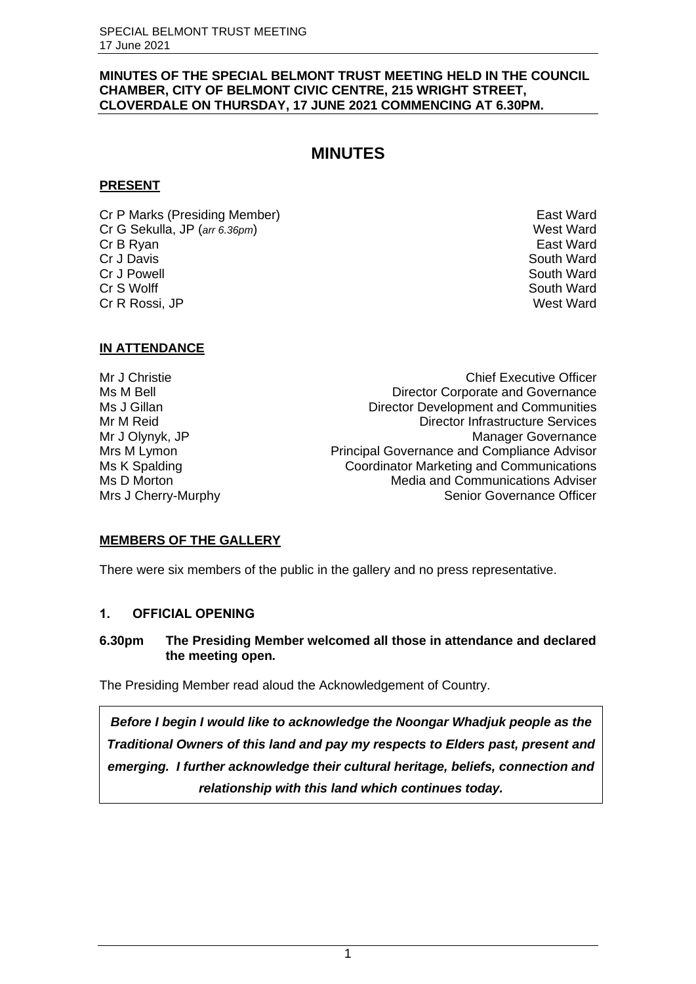#### **MINUTES OF THE SPECIAL BELMONT TRUST MEETING HELD IN THE COUNCIL CHAMBER, CITY OF BELMONT CIVIC CENTRE, 215 WRIGHT STREET, CLOVERDALE ON THURSDAY, 17 JUNE 2021 COMMENCING AT 6.30PM.**

## **MINUTES**

## **PRESENT**

Cr P Marks (Presiding Member) East Ward<br>Cr G Sekulla, JP (arr 6.36pm) Security Cr G Sekulla Cr G Sekulla Cr G Sekulla Cr G Sekulla Cr G Sekulla Cr G S Cr G Sekulla, JP (arr 6.36pm) **Cr B Ryan East Ward Cr J Davis** South Ward **Cr J Powell** South Ward Cr S Wolff Cr S Wolff South Ward South Ward South Ward South Ward South Ward South Ward South Ward South Ward South Ward South Ward South Ward South Ward South Ward South Ward South Ward South Ward South Ward South Ward So Cr R Rossi, JP

## **IN ATTENDANCE**

Mr J Christie Chief Executive Officer Ms M Bell **Director Corporate and Governance** Ms J Gillan Director Development and Communities Mr M Reid Director Infrastructure Services Mr J Olynyk, JP Manager Governance Mrs M Lymon **Principal Governance and Compliance Advisor** Principal Governance and Compliance Advisor Ms K Spalding Coordinator Marketing and Communications Ms D Morton Media and Communications Adviser Mrs J Cherry-Murphy **Senior Governance Officer** 

## **MEMBERS OF THE GALLERY**

There were six members of the public in the gallery and no press representative.

## <span id="page-1-0"></span>**1. OFFICIAL OPENING**

## **6.30pm The Presiding Member welcomed all those in attendance and declared the meeting open.**

The Presiding Member read aloud the Acknowledgement of Country.

*Before I begin I would like to acknowledge the Noongar Whadjuk people as the Traditional Owners of this land and pay my respects to Elders past, present and emerging. I further acknowledge their cultural heritage, beliefs, connection and relationship with this land which continues today.*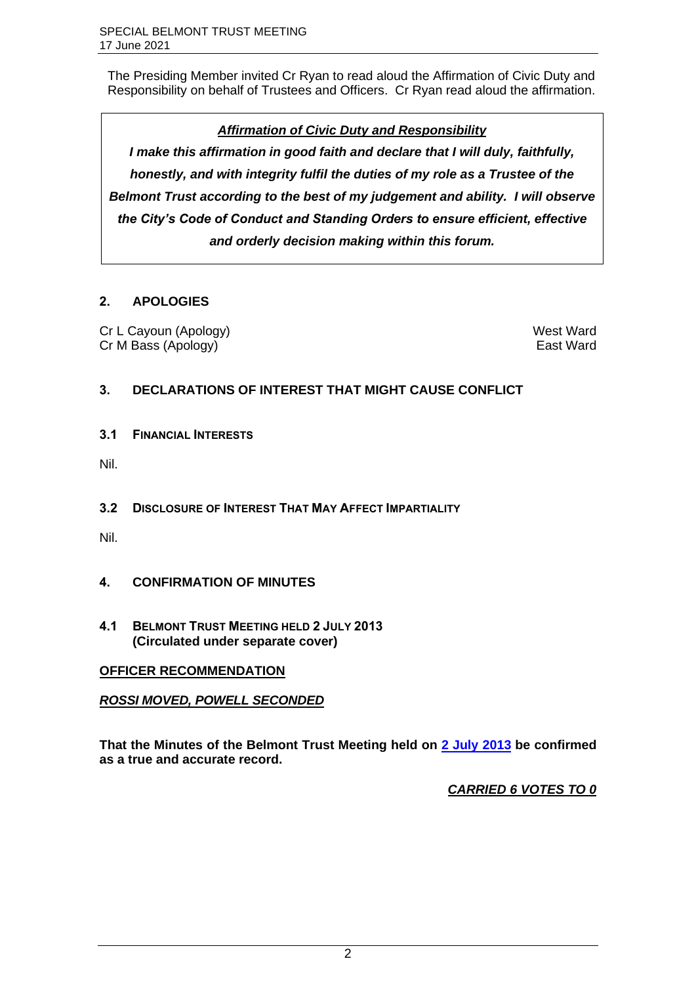The Presiding Member invited Cr Ryan to read aloud the Affirmation of Civic Duty and Responsibility on behalf of Trustees and Officers. Cr Ryan read aloud the affirmation.

## *Affirmation of Civic Duty and Responsibility*

*I make this affirmation in good faith and declare that I will duly, faithfully, honestly, and with integrity fulfil the duties of my role as a Trustee of the Belmont Trust according to the best of my judgement and ability. I will observe the City's Code of Conduct and Standing Orders to ensure efficient, effective and orderly decision making within this forum.*

## <span id="page-2-0"></span>**2. APOLOGIES**

Cr L Cayoun (Apology) West Ward Cr M Bass (Apology) East Ward

## <span id="page-2-1"></span>**3. DECLARATIONS OF INTEREST THAT MIGHT CAUSE CONFLICT**

<span id="page-2-2"></span>**3.1 FINANCIAL INTERESTS**

Nil.

<span id="page-2-3"></span>**3.2 DISCLOSURE OF INTEREST THAT MAY AFFECT IMPARTIALITY**

Nil.

- <span id="page-2-4"></span>**4. CONFIRMATION OF MINUTES**
- <span id="page-2-5"></span>**4.1 BELMONT TRUST MEETING HELD 2 JULY 2013 (Circulated under separate cover)**

## **OFFICER RECOMMENDATION**

## *ROSSI MOVED, POWELL SECONDED*

**That the Minutes of the Belmont Trust Meeting held on [2 July 2013](https://www.belmont.wa.gov.au/docs/ecm/Belmont%20Trust%20Meeting%202%20July%202013%20Minutes) be confirmed as a true and accurate record.**

*CARRIED 6 VOTES TO 0*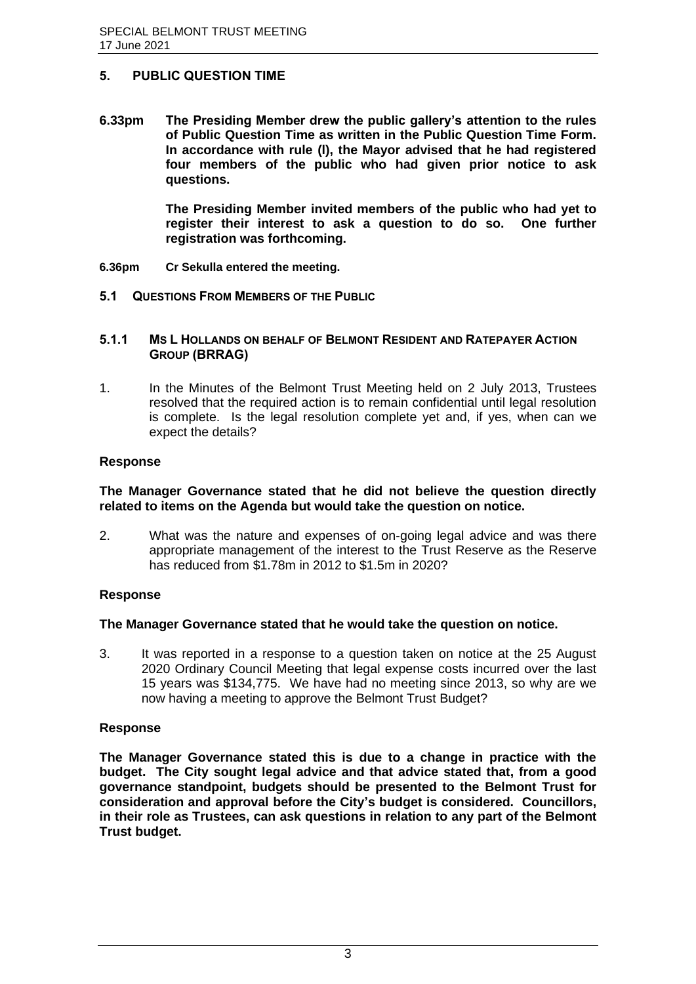## <span id="page-3-0"></span>**5. PUBLIC QUESTION TIME**

**6.33pm The Presiding Member drew the public gallery's attention to the rules of Public Question Time as written in the Public Question Time Form. In accordance with rule (l), the Mayor advised that he had registered four members of the public who had given prior notice to ask questions.**

> **The Presiding Member invited members of the public who had yet to register their interest to ask a question to do so. One further registration was forthcoming.**

- **6.36pm Cr Sekulla entered the meeting.**
- <span id="page-3-1"></span>**5.1 QUESTIONS FROM MEMBERS OF THE PUBLIC**

#### **5.1.1 MS L HOLLANDS ON BEHALF OF BELMONT RESIDENT AND RATEPAYER ACTION GROUP (BRRAG)**

1. In the Minutes of the Belmont Trust Meeting held on 2 July 2013, Trustees resolved that the required action is to remain confidential until legal resolution is complete. Is the legal resolution complete yet and, if yes, when can we expect the details?

#### **Response**

#### **The Manager Governance stated that he did not believe the question directly related to items on the Agenda but would take the question on notice.**

2. What was the nature and expenses of on-going legal advice and was there appropriate management of the interest to the Trust Reserve as the Reserve has reduced from \$1.78m in 2012 to \$1.5m in 2020?

## **Response**

#### **The Manager Governance stated that he would take the question on notice.**

3. It was reported in a response to a question taken on notice at the 25 August 2020 Ordinary Council Meeting that legal expense costs incurred over the last 15 years was \$134,775. We have had no meeting since 2013, so why are we now having a meeting to approve the Belmont Trust Budget?

## **Response**

**The Manager Governance stated this is due to a change in practice with the budget. The City sought legal advice and that advice stated that, from a good governance standpoint, budgets should be presented to the Belmont Trust for consideration and approval before the City's budget is considered. Councillors, in their role as Trustees, can ask questions in relation to any part of the Belmont Trust budget.**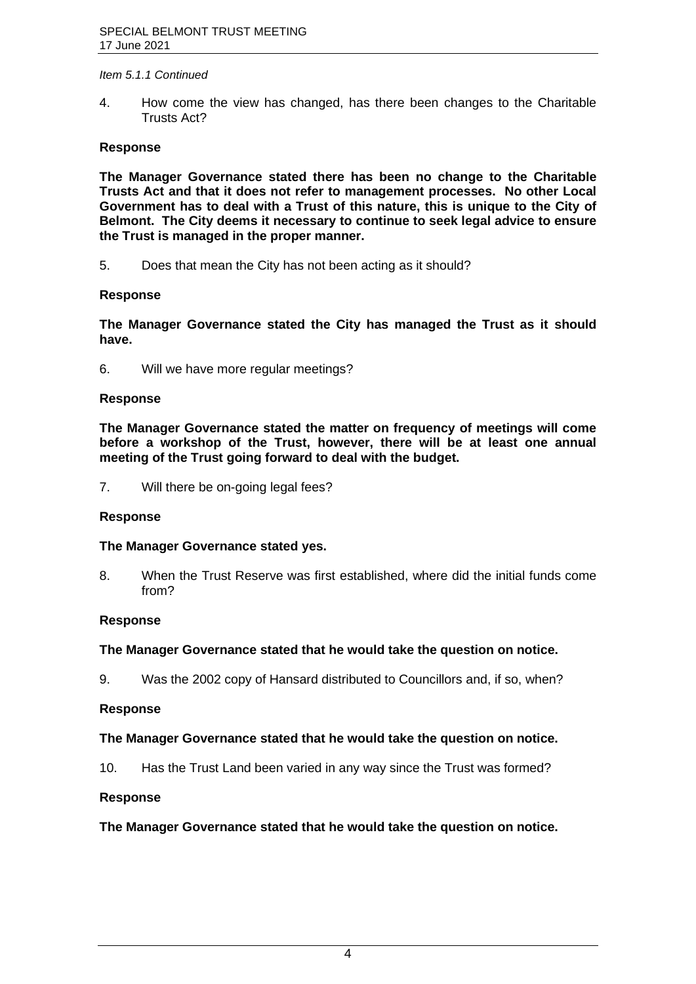#### *Item 5.1.1 Continued*

4. How come the view has changed, has there been changes to the Charitable Trusts Act?

## **Response**

**The Manager Governance stated there has been no change to the Charitable Trusts Act and that it does not refer to management processes. No other Local Government has to deal with a Trust of this nature, this is unique to the City of Belmont. The City deems it necessary to continue to seek legal advice to ensure the Trust is managed in the proper manner.**

5. Does that mean the City has not been acting as it should?

#### **Response**

**The Manager Governance stated the City has managed the Trust as it should have.**

6. Will we have more regular meetings?

#### **Response**

**The Manager Governance stated the matter on frequency of meetings will come before a workshop of the Trust, however, there will be at least one annual meeting of the Trust going forward to deal with the budget.**

7. Will there be on-going legal fees?

#### **Response**

#### **The Manager Governance stated yes.**

8. When the Trust Reserve was first established, where did the initial funds come from?

#### **Response**

## **The Manager Governance stated that he would take the question on notice.**

9. Was the 2002 copy of Hansard distributed to Councillors and, if so, when?

#### **Response**

#### **The Manager Governance stated that he would take the question on notice.**

10. Has the Trust Land been varied in any way since the Trust was formed?

#### **Response**

## **The Manager Governance stated that he would take the question on notice.**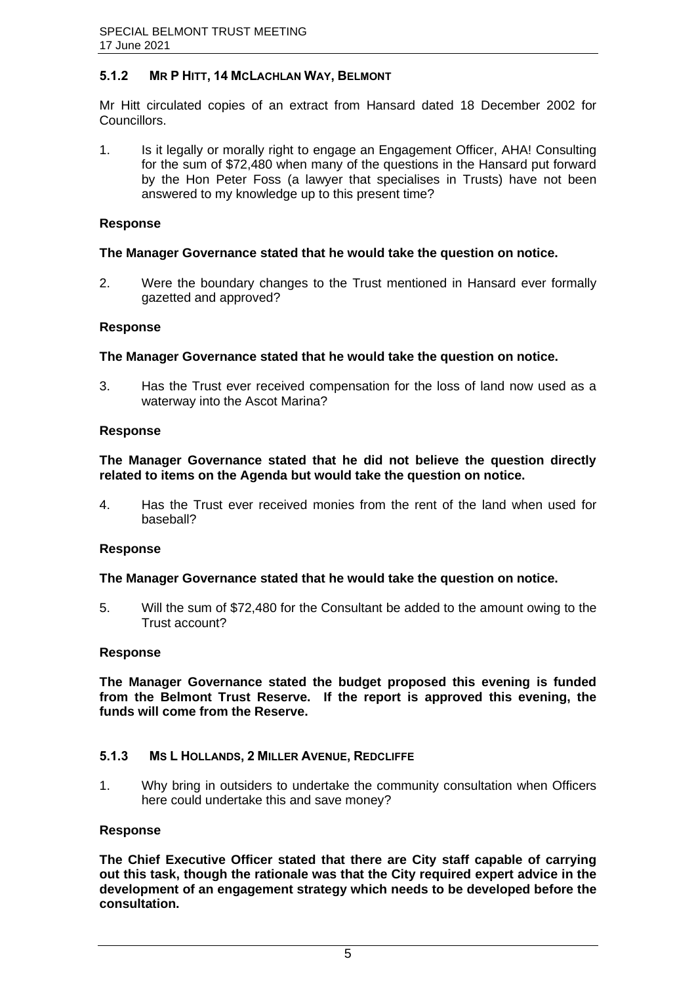## **5.1.2 MR P HITT, 14 MCLACHLAN WAY, BELMONT**

Mr Hitt circulated copies of an extract from Hansard dated 18 December 2002 for Councillors.

1. Is it legally or morally right to engage an Engagement Officer, AHA! Consulting for the sum of \$72,480 when many of the questions in the Hansard put forward by the Hon Peter Foss (a lawyer that specialises in Trusts) have not been answered to my knowledge up to this present time?

## **Response**

## **The Manager Governance stated that he would take the question on notice.**

2. Were the boundary changes to the Trust mentioned in Hansard ever formally gazetted and approved?

## **Response**

## **The Manager Governance stated that he would take the question on notice.**

3. Has the Trust ever received compensation for the loss of land now used as a waterway into the Ascot Marina?

## **Response**

## **The Manager Governance stated that he did not believe the question directly related to items on the Agenda but would take the question on notice.**

4. Has the Trust ever received monies from the rent of the land when used for baseball?

## **Response**

## **The Manager Governance stated that he would take the question on notice.**

5. Will the sum of \$72,480 for the Consultant be added to the amount owing to the Trust account?

## **Response**

**The Manager Governance stated the budget proposed this evening is funded from the Belmont Trust Reserve. If the report is approved this evening, the funds will come from the Reserve.**

## **5.1.3 MS L HOLLANDS, 2 MILLER AVENUE, REDCLIFFE**

1. Why bring in outsiders to undertake the community consultation when Officers here could undertake this and save money?

## **Response**

**The Chief Executive Officer stated that there are City staff capable of carrying out this task, though the rationale was that the City required expert advice in the development of an engagement strategy which needs to be developed before the consultation.**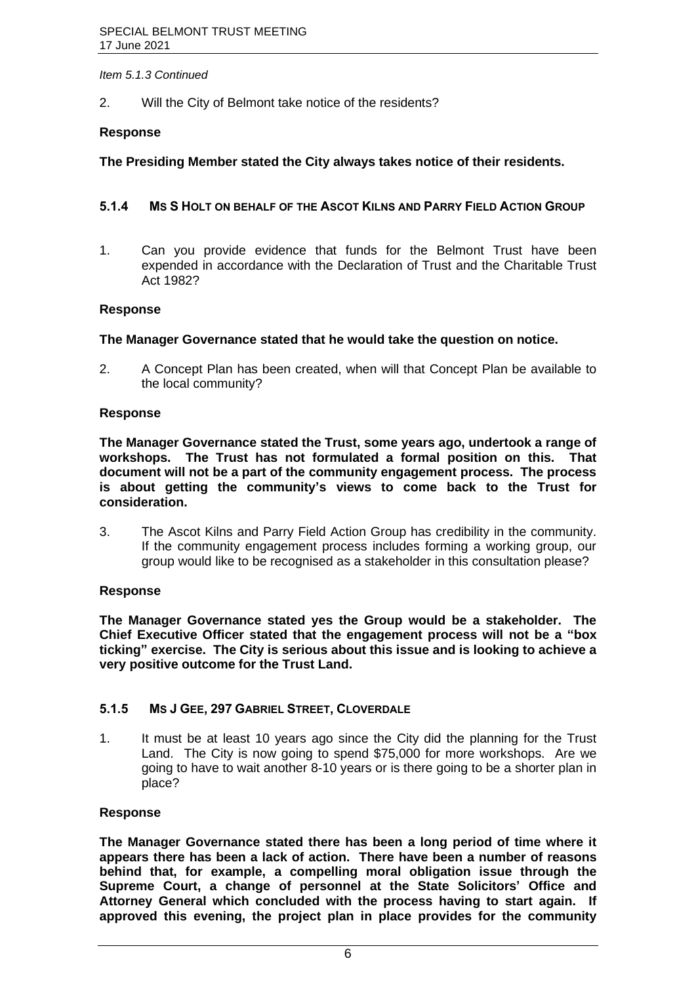#### *Item 5.1.3 Continued*

2. Will the City of Belmont take notice of the residents?

## **Response**

## **The Presiding Member stated the City always takes notice of their residents.**

## **5.1.4 MS S HOLT ON BEHALF OF THE ASCOT KILNS AND PARRY FIELD ACTION GROUP**

1. Can you provide evidence that funds for the Belmont Trust have been expended in accordance with the Declaration of Trust and the Charitable Trust Act 1982?

#### **Response**

#### **The Manager Governance stated that he would take the question on notice.**

2. A Concept Plan has been created, when will that Concept Plan be available to the local community?

#### **Response**

**The Manager Governance stated the Trust, some years ago, undertook a range of workshops. The Trust has not formulated a formal position on this. That document will not be a part of the community engagement process. The process is about getting the community's views to come back to the Trust for consideration.**

3. The Ascot Kilns and Parry Field Action Group has credibility in the community. If the community engagement process includes forming a working group, our group would like to be recognised as a stakeholder in this consultation please?

## **Response**

**The Manager Governance stated yes the Group would be a stakeholder. The Chief Executive Officer stated that the engagement process will not be a "box ticking" exercise. The City is serious about this issue and is looking to achieve a very positive outcome for the Trust Land.**

## **5.1.5 MS J GEE, 297 GABRIEL STREET, CLOVERDALE**

1. It must be at least 10 years ago since the City did the planning for the Trust Land. The City is now going to spend \$75,000 for more workshops. Are we going to have to wait another 8-10 years or is there going to be a shorter plan in place?

## **Response**

**The Manager Governance stated there has been a long period of time where it appears there has been a lack of action. There have been a number of reasons behind that, for example, a compelling moral obligation issue through the Supreme Court, a change of personnel at the State Solicitors' Office and Attorney General which concluded with the process having to start again. If approved this evening, the project plan in place provides for the community**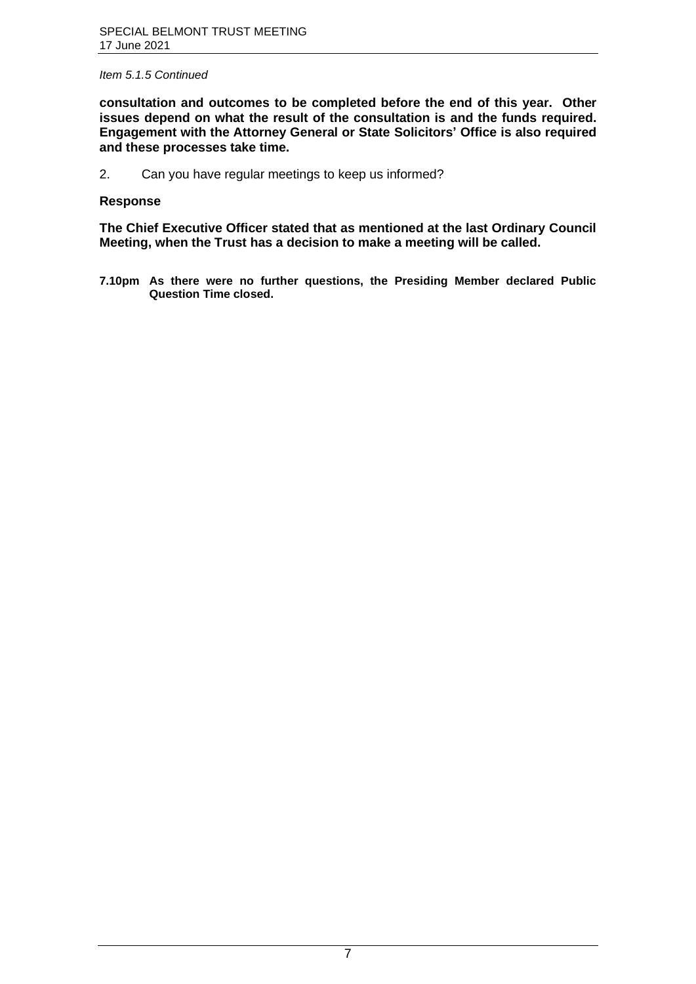#### *Item 5.1.5 Continued*

**consultation and outcomes to be completed before the end of this year. Other issues depend on what the result of the consultation is and the funds required. Engagement with the Attorney General or State Solicitors' Office is also required and these processes take time.**

2. Can you have regular meetings to keep us informed?

## **Response**

**The Chief Executive Officer stated that as mentioned at the last Ordinary Council Meeting, when the Trust has a decision to make a meeting will be called.**

**7.10pm As there were no further questions, the Presiding Member declared Public Question Time closed.**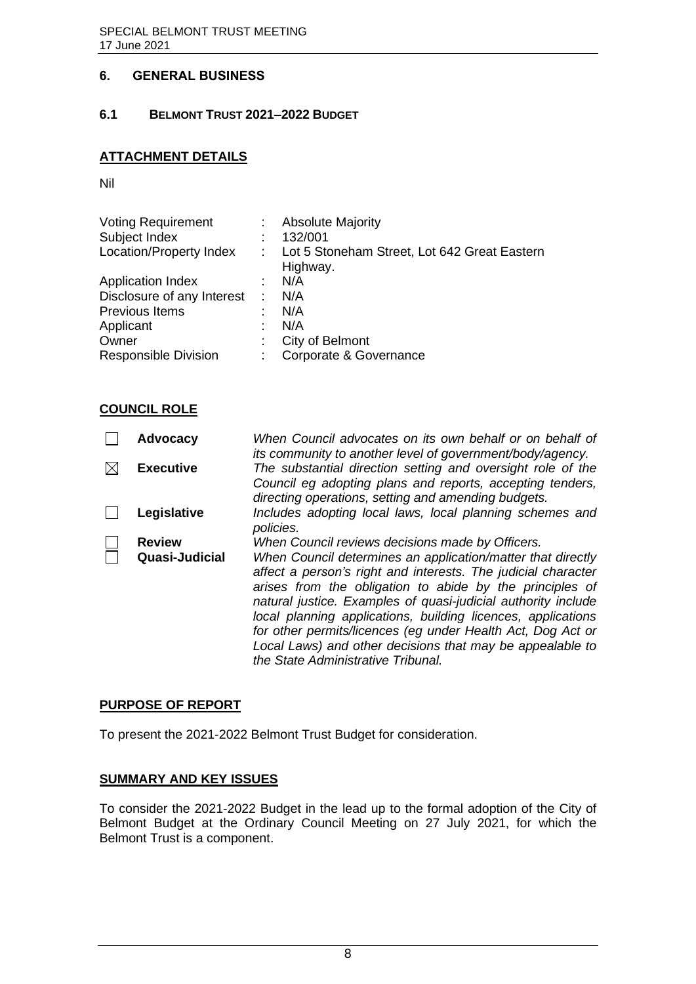## <span id="page-8-0"></span>**6. GENERAL BUSINESS**

## <span id="page-8-1"></span>**6.1 BELMONT TRUST 2021–2022 BUDGET**

## **ATTACHMENT DETAILS**

Nil

| <b>Voting Requirement</b>   |    | <b>Absolute Majority</b>                                 |
|-----------------------------|----|----------------------------------------------------------|
| Subject Index               |    | 132/001                                                  |
| Location/Property Index     |    | Lot 5 Stoneham Street, Lot 642 Great Eastern<br>Highway. |
| <b>Application Index</b>    |    | N/A                                                      |
| Disclosure of any Interest  |    | N/A                                                      |
| Previous Items              |    | N/A                                                      |
| Applicant                   |    | N/A                                                      |
| Owner                       |    | City of Belmont                                          |
| <b>Responsible Division</b> | t. | Corporate & Governance                                   |

## **COUNCIL ROLE**

| <b>Advocacy</b>  | When Council advocates on its own behalf or on behalf of<br>its community to another level of government/body/agency.                                                                                                                                                                                                                                                                                                                                                                       |
|------------------|---------------------------------------------------------------------------------------------------------------------------------------------------------------------------------------------------------------------------------------------------------------------------------------------------------------------------------------------------------------------------------------------------------------------------------------------------------------------------------------------|
| <b>Executive</b> | The substantial direction setting and oversight role of the<br>Council eg adopting plans and reports, accepting tenders,<br>directing operations, setting and amending budgets.                                                                                                                                                                                                                                                                                                             |
| Legislative      | Includes adopting local laws, local planning schemes and<br>policies.                                                                                                                                                                                                                                                                                                                                                                                                                       |
| <b>Review</b>    | When Council reviews decisions made by Officers.                                                                                                                                                                                                                                                                                                                                                                                                                                            |
| Quasi-Judicial   | When Council determines an application/matter that directly<br>affect a person's right and interests. The judicial character<br>arises from the obligation to abide by the principles of<br>natural justice. Examples of quasi-judicial authority include<br>local planning applications, building licences, applications<br>for other permits/licences (eq under Health Act, Dog Act or<br>Local Laws) and other decisions that may be appealable to<br>the State Administrative Tribunal. |

## **PURPOSE OF REPORT**

To present the 2021-2022 Belmont Trust Budget for consideration.

## **SUMMARY AND KEY ISSUES**

To consider the 2021-2022 Budget in the lead up to the formal adoption of the City of Belmont Budget at the Ordinary Council Meeting on 27 July 2021, for which the Belmont Trust is a component.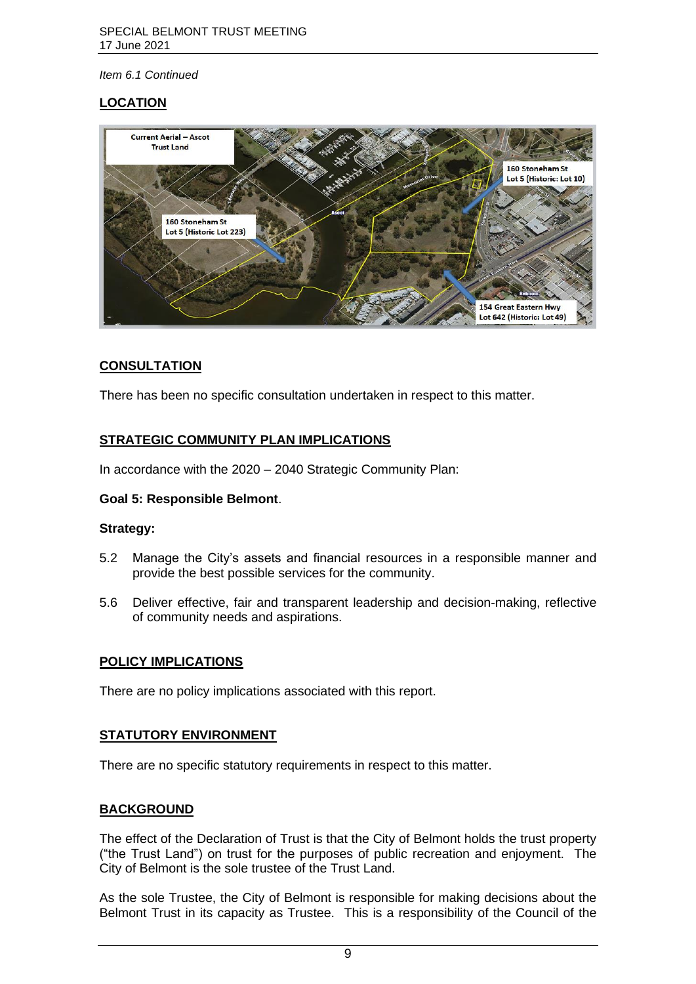## **LOCATION**



## **CONSULTATION**

There has been no specific consultation undertaken in respect to this matter.

## **STRATEGIC COMMUNITY PLAN IMPLICATIONS**

In accordance with the 2020 – 2040 Strategic Community Plan:

## **Goal 5: Responsible Belmont**.

## **Strategy:**

- 5.2 Manage the City's assets and financial resources in a responsible manner and provide the best possible services for the community.
- 5.6 Deliver effective, fair and transparent leadership and decision-making, reflective of community needs and aspirations.

## **POLICY IMPLICATIONS**

There are no policy implications associated with this report.

## **STATUTORY ENVIRONMENT**

There are no specific statutory requirements in respect to this matter.

## **BACKGROUND**

The effect of the Declaration of Trust is that the City of Belmont holds the trust property ("the Trust Land") on trust for the purposes of public recreation and enjoyment. The City of Belmont is the sole trustee of the Trust Land.

As the sole Trustee, the City of Belmont is responsible for making decisions about the Belmont Trust in its capacity as Trustee. This is a responsibility of the Council of the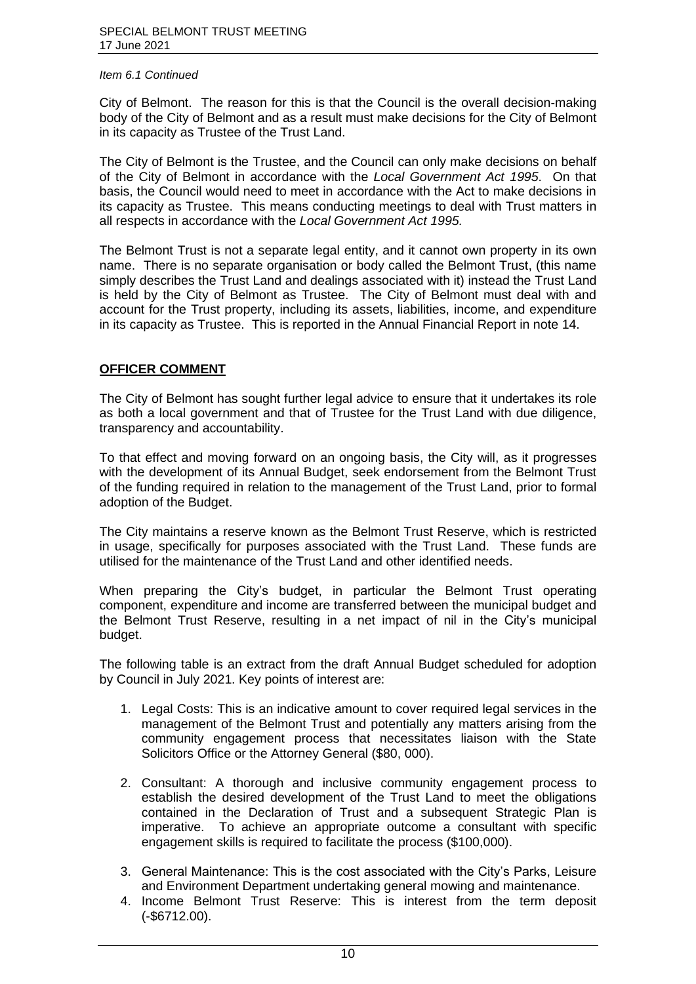City of Belmont. The reason for this is that the Council is the overall decision-making body of the City of Belmont and as a result must make decisions for the City of Belmont in its capacity as Trustee of the Trust Land.

The City of Belmont is the Trustee, and the Council can only make decisions on behalf of the City of Belmont in accordance with the *Local Government Act 1995*. On that basis, the Council would need to meet in accordance with the Act to make decisions in its capacity as Trustee. This means conducting meetings to deal with Trust matters in all respects in accordance with the *Local Government Act 1995.*

The Belmont Trust is not a separate legal entity, and it cannot own property in its own name. There is no separate organisation or body called the Belmont Trust, (this name simply describes the Trust Land and dealings associated with it) instead the Trust Land is held by the City of Belmont as Trustee. The City of Belmont must deal with and account for the Trust property, including its assets, liabilities, income, and expenditure in its capacity as Trustee. This is reported in the Annual Financial Report in note 14.

## **OFFICER COMMENT**

The City of Belmont has sought further legal advice to ensure that it undertakes its role as both a local government and that of Trustee for the Trust Land with due diligence, transparency and accountability.

To that effect and moving forward on an ongoing basis, the City will, as it progresses with the development of its Annual Budget, seek endorsement from the Belmont Trust of the funding required in relation to the management of the Trust Land, prior to formal adoption of the Budget.

The City maintains a reserve known as the Belmont Trust Reserve, which is restricted in usage, specifically for purposes associated with the Trust Land. These funds are utilised for the maintenance of the Trust Land and other identified needs.

When preparing the City's budget, in particular the Belmont Trust operating component, expenditure and income are transferred between the municipal budget and the Belmont Trust Reserve, resulting in a net impact of nil in the City's municipal budget.

The following table is an extract from the draft Annual Budget scheduled for adoption by Council in July 2021. Key points of interest are:

- 1. Legal Costs: This is an indicative amount to cover required legal services in the management of the Belmont Trust and potentially any matters arising from the community engagement process that necessitates liaison with the State Solicitors Office or the Attorney General (\$80, 000).
- 2. Consultant: A thorough and inclusive community engagement process to establish the desired development of the Trust Land to meet the obligations contained in the Declaration of Trust and a subsequent Strategic Plan is imperative. To achieve an appropriate outcome a consultant with specific engagement skills is required to facilitate the process (\$100,000).
- 3. General Maintenance: This is the cost associated with the City's Parks, Leisure and Environment Department undertaking general mowing and maintenance.
- 4. Income Belmont Trust Reserve: This is interest from the term deposit (-\$6712.00).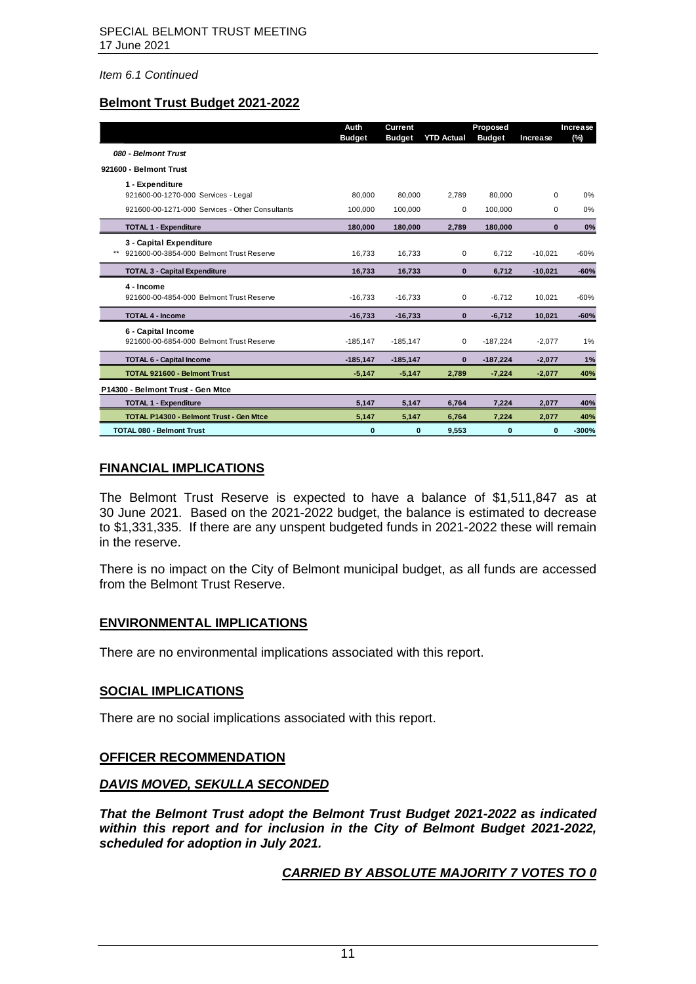## **Belmont Trust Budget 2021-2022**

|                                                                     | Auth<br><b>Budget</b> | <b>Current</b><br><b>Budget</b> | <b>YTD Actual</b> | Proposed<br><b>Budget</b> | Increase    | Increase<br>(%) |
|---------------------------------------------------------------------|-----------------------|---------------------------------|-------------------|---------------------------|-------------|-----------------|
| 080 - Belmont Trust                                                 |                       |                                 |                   |                           |             |                 |
| 921600 - Belmont Trust                                              |                       |                                 |                   |                           |             |                 |
| 1 - Expenditure<br>921600-00-1270-000 Services - Legal              | 80,000                | 80,000                          | 2.789             | 80.000                    | $\Omega$    | 0%              |
| 921600-00-1271-000 Services - Other Consultants                     | 100,000               | 100,000                         | $\mathbf 0$       | 100,000                   | $\mathbf 0$ | 0%              |
| <b>TOTAL 1 - Expenditure</b>                                        | 180,000               | 180,000                         | 2,789             | 180,000                   | $\bf{0}$    | 0%              |
| 3 - Capital Expenditure<br>921600-00-3854-000 Belmont Trust Reserve | 16,733                | 16,733                          | $\mathbf 0$       | 6.712                     | $-10,021$   | $-60%$          |
| <b>TOTAL 3 - Capital Expenditure</b>                                | 16,733                | 16,733                          | $\bf{0}$          | 6,712                     | $-10,021$   | $-60%$          |
| 4 - Income<br>921600-00-4854-000 Belmont Trust Reserve              | $-16,733$             | $-16,733$                       | 0                 | $-6,712$                  | 10,021      | $-60%$          |
| <b>TOTAL 4 - Income</b>                                             | $-16,733$             | $-16,733$                       | $\mathbf{0}$      | $-6,712$                  | 10,021      | $-60%$          |
| 6 - Capital Income<br>921600-00-6854-000 Belmont Trust Reserve      | $-185,147$            | $-185, 147$                     | $\mathbf 0$       | $-187,224$                | $-2,077$    | 1%              |
| <b>TOTAL 6 - Capital Income</b>                                     | $-185, 147$           | $-185, 147$                     | $\bf{0}$          | $-187,224$                | $-2,077$    | 1%              |
| <b>TOTAL 921600 - Belmont Trust</b>                                 | $-5,147$              | $-5,147$                        | 2.789             | $-7,224$                  | $-2,077$    | 40%             |
| P14300 - Belmont Trust - Gen Mtce                                   |                       |                                 |                   |                           |             |                 |
| <b>TOTAL 1 - Expenditure</b>                                        | 5,147                 | 5,147                           | 6,764             | 7,224                     | 2,077       | 40%             |
| <b>TOTAL P14300 - Belmont Trust - Gen Mtce</b>                      | 5,147                 | 5,147                           | 6,764             | 7,224                     | 2,077       | 40%             |
| <b>TOTAL 080 - Belmont Trust</b>                                    | 0                     | 0                               | 9,553             | $\bf{0}$                  | $\bf{0}$    | $-300%$         |

## **FINANCIAL IMPLICATIONS**

The Belmont Trust Reserve is expected to have a balance of \$1,511,847 as at 30 June 2021. Based on the 2021-2022 budget, the balance is estimated to decrease to \$1,331,335. If there are any unspent budgeted funds in 2021-2022 these will remain in the reserve.

There is no impact on the City of Belmont municipal budget, as all funds are accessed from the Belmont Trust Reserve.

## **ENVIRONMENTAL IMPLICATIONS**

There are no environmental implications associated with this report.

## **SOCIAL IMPLICATIONS**

There are no social implications associated with this report.

## **OFFICER RECOMMENDATION**

## *DAVIS MOVED, SEKULLA SECONDED*

*That the Belmont Trust adopt the Belmont Trust Budget 2021-2022 as indicated within this report and for inclusion in the City of Belmont Budget 2021-2022, scheduled for adoption in July 2021.*

## *CARRIED BY ABSOLUTE MAJORITY 7 VOTES TO 0*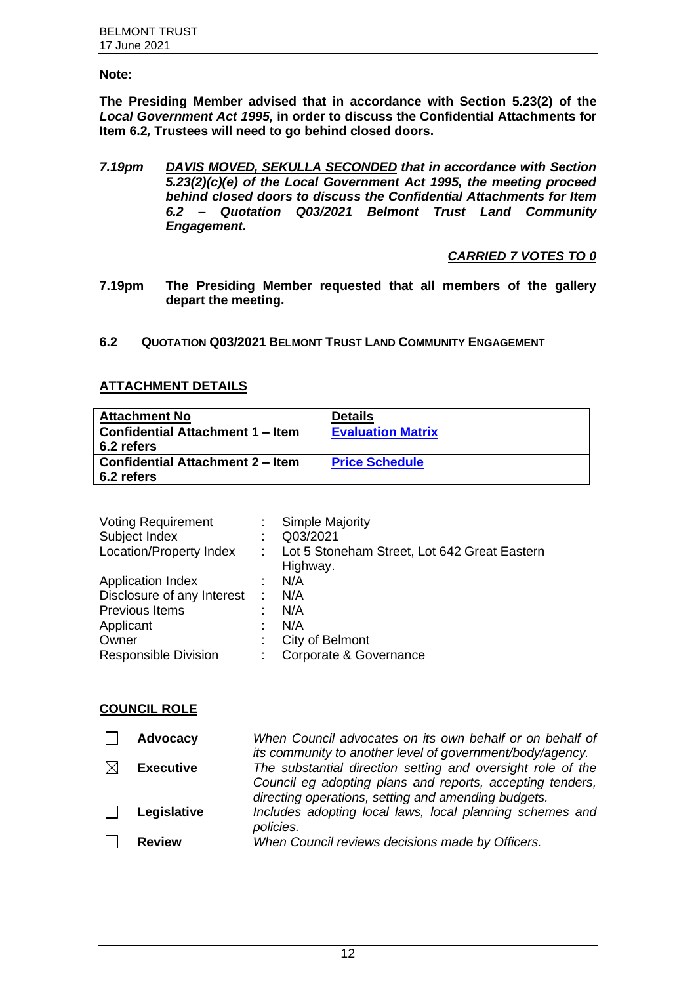## <span id="page-12-0"></span>**Note:**

**The Presiding Member advised that in accordance with Section 5.23(2) of the**  *Local Government Act 1995,* **in order to discuss the Confidential Attachments for Item 6.2***,* **Trustees will need to go behind closed doors.**

*7.19pm DAVIS MOVED, SEKULLA SECONDED that in accordance with Section 5.23(2)(c)(e) of the Local Government Act 1995, the meeting proceed behind closed doors to discuss the Confidential Attachments for Item 6.2 – Quotation Q03/2021 Belmont Trust Land Community Engagement.*

## *CARRIED 7 VOTES TO 0*

- **7.19pm The Presiding Member requested that all members of the gallery depart the meeting.**
- **6.2 QUOTATION Q03/2021 BELMONT TRUST LAND COMMUNITY ENGAGEMENT**

## **ATTACHMENT DETAILS**

| <b>Attachment No</b>                    | <b>Details</b>           |
|-----------------------------------------|--------------------------|
| <b>Confidential Attachment 1 – Item</b> | <b>Evaluation Matrix</b> |
| 6.2 refers                              |                          |
| <b>Confidential Attachment 2 – Item</b> | <b>Price Schedule</b>    |
| 6.2 refers                              |                          |

| <b>Voting Requirement</b>   | t. | <b>Simple Majority</b>                                   |
|-----------------------------|----|----------------------------------------------------------|
| Subject Index               | ÷  | Q03/2021                                                 |
| Location/Property Index     |    | Lot 5 Stoneham Street, Lot 642 Great Eastern<br>Highway. |
| <b>Application Index</b>    |    | N/A                                                      |
| Disclosure of any Interest  | ÷  | N/A                                                      |
| Previous Items              | t  | N/A                                                      |
| Applicant                   | t  | N/A                                                      |
| Owner                       | t  | City of Belmont                                          |
| <b>Responsible Division</b> | ÷  | Corporate & Governance                                   |

## **COUNCIL ROLE**

| <b>Advocacy</b>  | When Council advocates on its own behalf or on behalf of                                                                 |
|------------------|--------------------------------------------------------------------------------------------------------------------------|
| <b>Executive</b> | its community to another level of government/body/agency.<br>The substantial direction setting and oversight role of the |
|                  | Council eg adopting plans and reports, accepting tenders,<br>directing operations, setting and amending budgets.         |
| Legislative      | Includes adopting local laws, local planning schemes and<br>policies.                                                    |
| <b>Review</b>    | When Council reviews decisions made by Officers.                                                                         |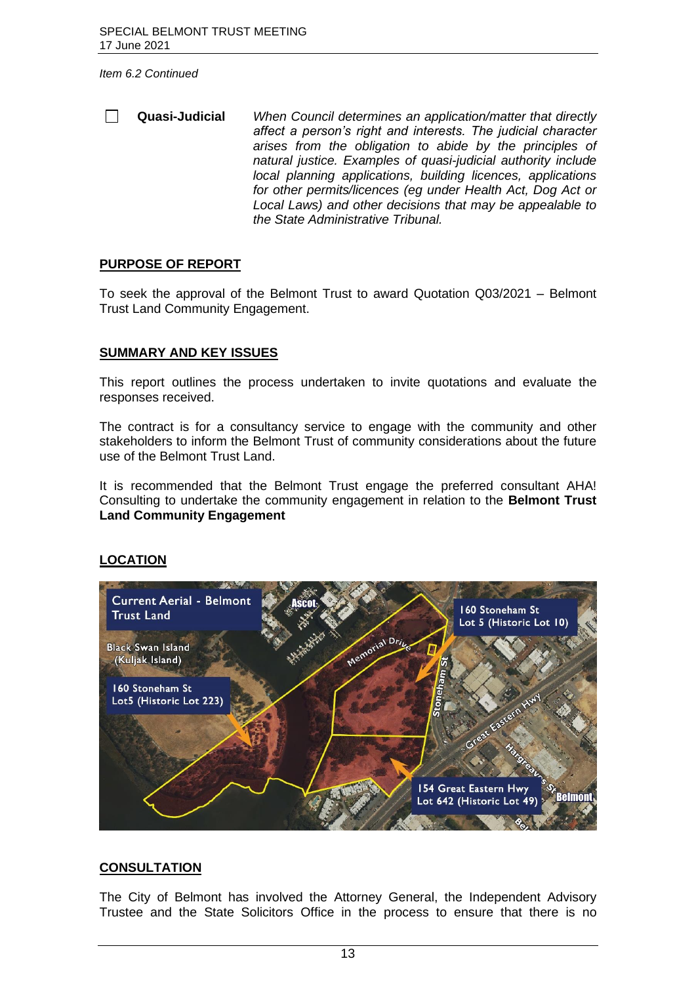$\Box$ **Quasi-Judicial** *When Council determines an application/matter that directly affect a person's right and interests. The judicial character arises from the obligation to abide by the principles of natural justice. Examples of quasi-judicial authority include local planning applications, building licences, applications for other permits/licences (eg under Health Act, Dog Act or Local Laws) and other decisions that may be appealable to the State Administrative Tribunal.*

#### **PURPOSE OF REPORT**

To seek the approval of the Belmont Trust to award Quotation Q03/2021 – Belmont Trust Land Community Engagement.

## **SUMMARY AND KEY ISSUES**

This report outlines the process undertaken to invite quotations and evaluate the responses received.

The contract is for a consultancy service to engage with the community and other stakeholders to inform the Belmont Trust of community considerations about the future use of the Belmont Trust Land.

It is recommended that the Belmont Trust engage the preferred consultant AHA! Consulting to undertake the community engagement in relation to the **Belmont Trust Land Community Engagement**

## **LOCATION**



## **CONSULTATION**

The City of Belmont has involved the Attorney General, the Independent Advisory Trustee and the State Solicitors Office in the process to ensure that there is no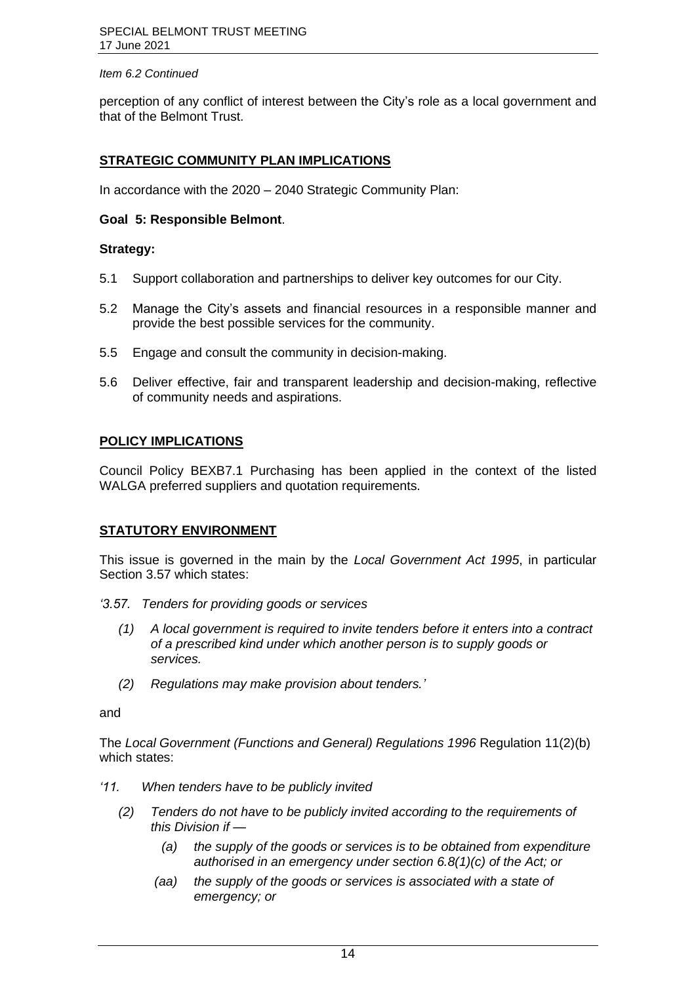perception of any conflict of interest between the City's role as a local government and that of the Belmont Trust.

## **STRATEGIC COMMUNITY PLAN IMPLICATIONS**

In accordance with the 2020 – 2040 Strategic Community Plan:

## **Goal 5: Responsible Belmont**.

## **Strategy:**

- 5.1 Support collaboration and partnerships to deliver key outcomes for our City.
- 5.2 Manage the City's assets and financial resources in a responsible manner and provide the best possible services for the community.
- 5.5 Engage and consult the community in decision-making.
- 5.6 Deliver effective, fair and transparent leadership and decision-making, reflective of community needs and aspirations.

## **POLICY IMPLICATIONS**

Council Policy BEXB7.1 Purchasing has been applied in the context of the listed WALGA preferred suppliers and quotation requirements.

## **STATUTORY ENVIRONMENT**

This issue is governed in the main by the *Local Government Act 1995*, in particular Section 3.57 which states:

- *'3.57. Tenders for providing goods or services*
	- *(1) A local government is required to invite tenders before it enters into a contract of a prescribed kind under which another person is to supply goods or services.*
	- *(2) Regulations may make provision about tenders.'*

and

The *Local Government (Functions and General) Regulations 1996* Regulation 11(2)(b) which states:

- *'11. When tenders have to be publicly invited*
	- *(2) Tenders do not have to be publicly invited according to the requirements of this Division if —*
		- *(a) the supply of the goods or services is to be obtained from expenditure authorised in an emergency under section 6.8(1)(c) of the Act; or*
		- *(aa) the supply of the goods or services is associated with a state of emergency; or*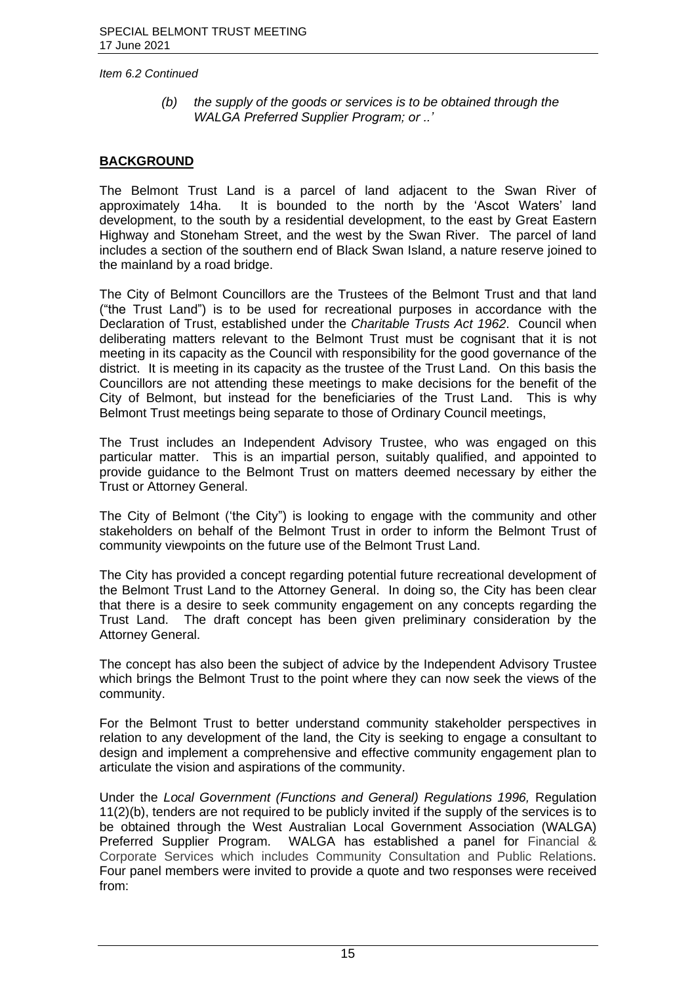*(b) the supply of the goods or services is to be obtained through the WALGA Preferred Supplier Program; or ..'*

## **BACKGROUND**

The Belmont Trust Land is a parcel of land adjacent to the Swan River of approximately 14ha. It is bounded to the north by the 'Ascot Waters' land development, to the south by a residential development, to the east by Great Eastern Highway and Stoneham Street, and the west by the Swan River. The parcel of land includes a section of the southern end of Black Swan Island, a nature reserve joined to the mainland by a road bridge.

The City of Belmont Councillors are the Trustees of the Belmont Trust and that land ("the Trust Land") is to be used for recreational purposes in accordance with the Declaration of Trust, established under the *Charitable Trusts Act 1962*. Council when deliberating matters relevant to the Belmont Trust must be cognisant that it is not meeting in its capacity as the Council with responsibility for the good governance of the district. It is meeting in its capacity as the trustee of the Trust Land. On this basis the Councillors are not attending these meetings to make decisions for the benefit of the City of Belmont, but instead for the beneficiaries of the Trust Land. This is why Belmont Trust meetings being separate to those of Ordinary Council meetings,

The Trust includes an Independent Advisory Trustee, who was engaged on this particular matter. This is an impartial person, suitably qualified, and appointed to provide guidance to the Belmont Trust on matters deemed necessary by either the Trust or Attorney General.

The City of Belmont ('the City") is looking to engage with the community and other stakeholders on behalf of the Belmont Trust in order to inform the Belmont Trust of community viewpoints on the future use of the Belmont Trust Land.

The City has provided a concept regarding potential future recreational development of the Belmont Trust Land to the Attorney General. In doing so, the City has been clear that there is a desire to seek community engagement on any concepts regarding the Trust Land. The draft concept has been given preliminary consideration by the Attorney General.

The concept has also been the subject of advice by the Independent Advisory Trustee which brings the Belmont Trust to the point where they can now seek the views of the community.

For the Belmont Trust to better understand community stakeholder perspectives in relation to any development of the land, the City is seeking to engage a consultant to design and implement a comprehensive and effective community engagement plan to articulate the vision and aspirations of the community.

Under the *Local Government (Functions and General) Regulations 1996,* Regulation 11(2)(b), tenders are not required to be publicly invited if the supply of the services is to be obtained through the West Australian Local Government Association (WALGA) Preferred Supplier Program. WALGA has established a panel for Financial & Corporate Services which includes Community Consultation and Public Relations. Four panel members were invited to provide a quote and two responses were received from: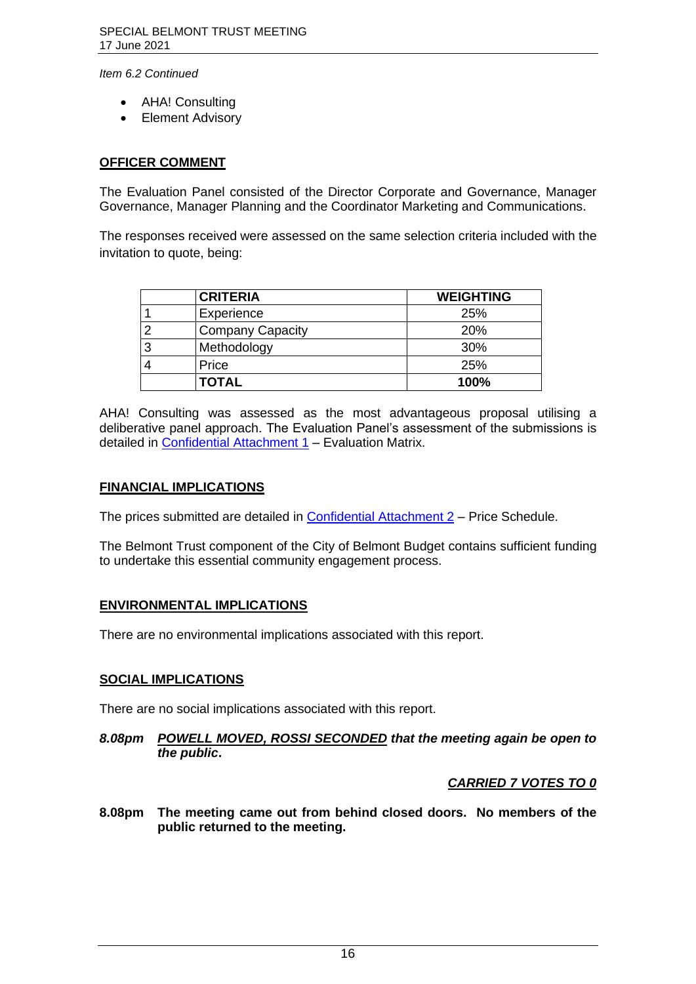- AHA! Consulting
- Element Advisory

## **OFFICER COMMENT**

The Evaluation Panel consisted of the Director Corporate and Governance, Manager Governance, Manager Planning and the Coordinator Marketing and Communications.

The responses received were assessed on the same selection criteria included with the invitation to quote, being:

|   | <b>CRITERIA</b>         | <b>WEIGHTING</b> |
|---|-------------------------|------------------|
|   | Experience              | 25%              |
|   | <b>Company Capacity</b> | <b>20%</b>       |
| 3 | Methodology             | 30%              |
|   | Price                   | 25%              |
|   | <b>TOTAL</b>            | 100%             |

AHA! Consulting was assessed as the most advantageous proposal utilising a deliberative panel approach. The Evaluation Panel's assessment of the submissions is detailed in [Confidential Attachment 1](https://www.belmont.wa.gov.au/docs/ecm/Special%20Belmont%20Trust%20Meeting%2017%20June%202021%20Confidential%20Attachment%201) – Evaluation Matrix.

## **FINANCIAL IMPLICATIONS**

The prices submitted are detailed in **Confidential Attachment 2** – Price Schedule.

The Belmont Trust component of the City of Belmont Budget contains sufficient funding to undertake this essential community engagement process.

## **ENVIRONMENTAL IMPLICATIONS**

There are no environmental implications associated with this report.

## **SOCIAL IMPLICATIONS**

There are no social implications associated with this report.

#### *8.08pm POWELL MOVED, ROSSI SECONDED that the meeting again be open to the public***.**

## *CARRIED 7 VOTES TO 0*

**8.08pm The meeting came out from behind closed doors. No members of the public returned to the meeting.**